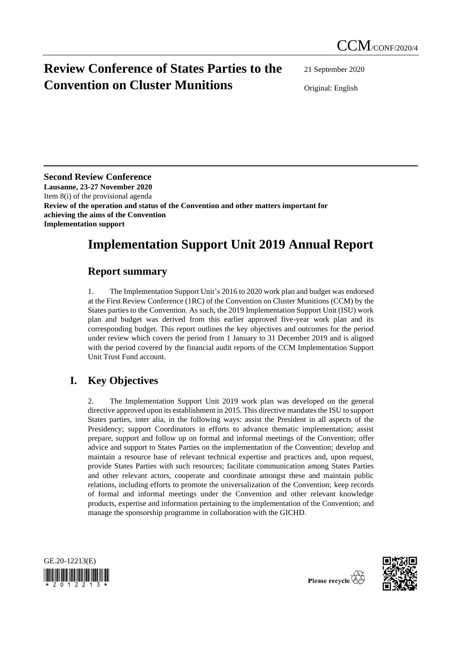# **Review Conference of States Parties to the Convention on Cluster Munitions**

21 September 2020

Original: English

**Second Review Conference Lausanne, 23-27 November 2020** Item 8(i) of the provisional agenda **Review of the operation and status of the Convention and other matters important for achieving the aims of the Convention Implementation support**

# **Implementation Support Unit 2019 Annual Report**

# **Report summary**

1. The Implementation Support Unit's 2016 to 2020 work plan and budget was endorsed at the First Review Conference (1RC) of the Convention on Cluster Munitions (CCM) by the States parties to the Convention. As such, the 2019 Implementation Support Unit (ISU) work plan and budget was derived from this earlier approved five-year work plan and its corresponding budget. This report outlines the key objectives and outcomes for the period under review which covers the period from 1 January to 31 December 2019 and is aligned with the period covered by the financial audit reports of the CCM Implementation Support Unit Trust Fund account.

# **I. Key Objectives**

2. The Implementation Support Unit 2019 work plan was developed on the general directive approved upon its establishment in 2015. This directive mandates the ISU to support States parties, inter alia, in the following ways: assist the President in all aspects of the Presidency; support Coordinators in efforts to advance thematic implementation; assist prepare, support and follow up on formal and informal meetings of the Convention; offer advice and support to States Parties on the implementation of the Convention; develop and maintain a resource base of relevant technical expertise and practices and, upon request, provide States Parties with such resources; facilitate communication among States Parties and other relevant actors, cooperate and coordinate amongst these and maintain public relations, including efforts to promote the universalization of the Convention; keep records of formal and informal meetings under the Convention and other relevant knowledge products, expertise and information pertaining to the implementation of the Convention; and manage the sponsorship programme in collaboration with the GICHD.





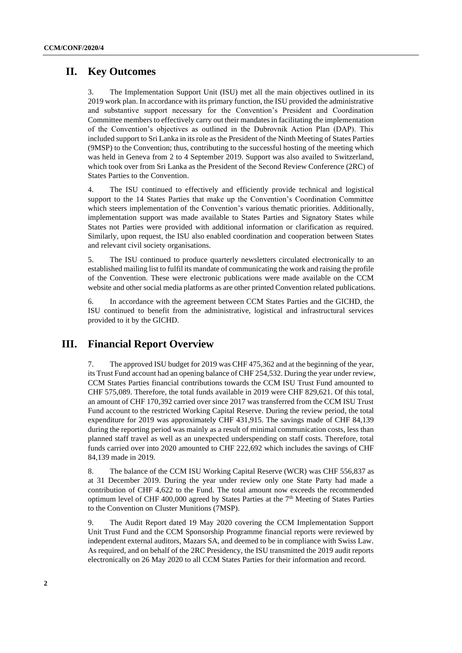# **II. Key Outcomes**

3. The Implementation Support Unit (ISU) met all the main objectives outlined in its 2019 work plan. In accordance with its primary function, the ISU provided the administrative and substantive support necessary for the Convention's President and Coordination Committee members to effectively carry out their mandates in facilitating the implementation of the Convention's objectives as outlined in the Dubrovnik Action Plan (DAP). This included support to Sri Lanka in its role as the President of the Ninth Meeting of States Parties (9MSP) to the Convention; thus, contributing to the successful hosting of the meeting which was held in Geneva from 2 to 4 September 2019. Support was also availed to Switzerland, which took over from Sri Lanka as the President of the Second Review Conference (2RC) of States Parties to the Convention.

4. The ISU continued to effectively and efficiently provide technical and logistical support to the 14 States Parties that make up the Convention's Coordination Committee which steers implementation of the Convention's various thematic priorities. Additionally, implementation support was made available to States Parties and Signatory States while States not Parties were provided with additional information or clarification as required. Similarly, upon request, the ISU also enabled coordination and cooperation between States and relevant civil society organisations.

5. The ISU continued to produce quarterly newsletters circulated electronically to an established mailing list to fulfil its mandate of communicating the work and raising the profile of the Convention. These were electronic publications were made available on the CCM website and other social media platforms as are other printed Convention related publications.

6. In accordance with the agreement between CCM States Parties and the GICHD, the ISU continued to benefit from the administrative, logistical and infrastructural services provided to it by the GICHD.

## **III. Financial Report Overview**

7. The approved ISU budget for 2019 was CHF 475,362 and at the beginning of the year, its Trust Fund account had an opening balance of CHF 254,532. During the year under review, CCM States Parties financial contributions towards the CCM ISU Trust Fund amounted to CHF 575,089. Therefore, the total funds available in 2019 were CHF 829,621. Of this total, an amount of CHF 170,392 carried over since 2017 was transferred from the CCM ISU Trust Fund account to the restricted Working Capital Reserve. During the review period, the total expenditure for 2019 was approximately CHF 431,915. The savings made of CHF 84,139 during the reporting period was mainly as a result of minimal communication costs, less than planned staff travel as well as an unexpected underspending on staff costs. Therefore, total funds carried over into 2020 amounted to CHF 222,692 which includes the savings of CHF 84,139 made in 2019.

8. The balance of the CCM ISU Working Capital Reserve (WCR) was CHF 556,837 as at 31 December 2019. During the year under review only one State Party had made a contribution of CHF 4,622 to the Fund. The total amount now exceeds the recommended optimum level of CHF 400,000 agreed by States Parties at the  $7<sup>th</sup>$  Meeting of States Parties to the Convention on Cluster Munitions (7MSP).

9. The Audit Report dated 19 May 2020 covering the CCM Implementation Support Unit Trust Fund and the CCM Sponsorship Programme financial reports were reviewed by independent external auditors, Mazars SA, and deemed to be in compliance with Swiss Law. As required, and on behalf of the 2RC Presidency, the ISU transmitted the 2019 audit reports electronically on 26 May 2020 to all CCM States Parties for their information and record.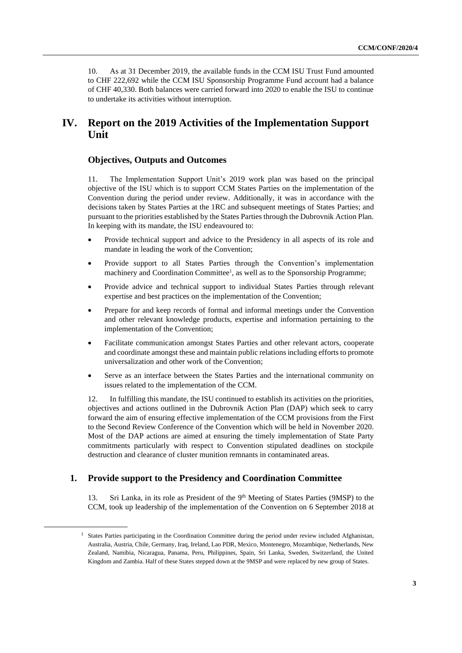10. As at 31 December 2019, the available funds in the CCM ISU Trust Fund amounted to CHF 222,692 while the CCM ISU Sponsorship Programme Fund account had a balance of CHF 40,330. Both balances were carried forward into 2020 to enable the ISU to continue to undertake its activities without interruption.

# **IV. Report on the 2019 Activities of the Implementation Support Unit**

### **Objectives, Outputs and Outcomes**

11. The Implementation Support Unit's 2019 work plan was based on the principal objective of the ISU which is to support CCM States Parties on the implementation of the Convention during the period under review. Additionally, it was in accordance with the decisions taken by States Parties at the 1RC and subsequent meetings of States Parties; and pursuant to the priorities established by the States Parties through the Dubrovnik Action Plan. In keeping with its mandate, the ISU endeavoured to:

- Provide technical support and advice to the Presidency in all aspects of its role and mandate in leading the work of the Convention;
- Provide support to all States Parties through the Convention's implementation machinery and Coordination Committee<sup>1</sup>, as well as to the Sponsorship Programme;
- Provide advice and technical support to individual States Parties through relevant expertise and best practices on the implementation of the Convention;
- Prepare for and keep records of formal and informal meetings under the Convention and other relevant knowledge products, expertise and information pertaining to the implementation of the Convention;
- Facilitate communication amongst States Parties and other relevant actors, cooperate and coordinate amongst these and maintain public relations including efforts to promote universalization and other work of the Convention;
- Serve as an interface between the States Parties and the international community on issues related to the implementation of the CCM.

12. In fulfilling this mandate, the ISU continued to establish its activities on the priorities, objectives and actions outlined in the Dubrovnik Action Plan (DAP) which seek to carry forward the aim of ensuring effective implementation of the CCM provisions from the First to the Second Review Conference of the Convention which will be held in November 2020. Most of the DAP actions are aimed at ensuring the timely implementation of State Party commitments particularly with respect to Convention stipulated deadlines on stockpile destruction and clearance of cluster munition remnants in contaminated areas.

### **1. Provide support to the Presidency and Coordination Committee**

13. Sri Lanka, in its role as President of the 9<sup>th</sup> Meeting of States Parties (9MSP) to the CCM, took up leadership of the implementation of the Convention on 6 September 2018 at

<sup>&</sup>lt;sup>1</sup> States Parties participating in the Coordination Committee during the period under review included Afghanistan, Australia, Austria, Chile, Germany, Iraq, Ireland, Lao PDR, Mexico, Montenegro, Mozambique, Netherlands, New Zealand, Namibia, Nicaragua, Panama, Peru, Philippines, Spain, Sri Lanka, Sweden, Switzerland, the United Kingdom and Zambia. Half of these States stepped down at the 9MSP and were replaced by new group of States.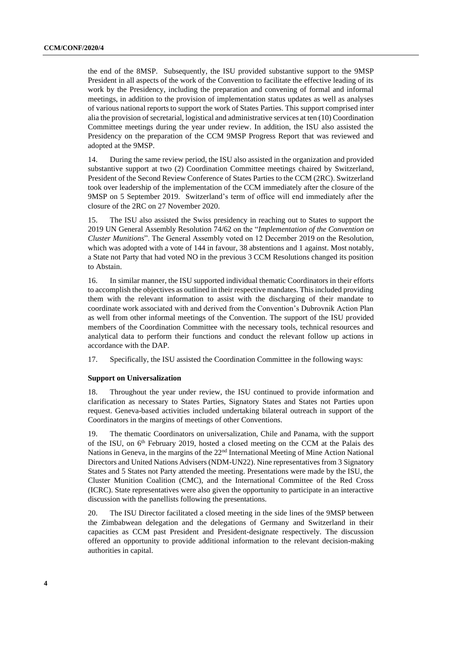the end of the 8MSP. Subsequently, the ISU provided substantive support to the 9MSP President in all aspects of the work of the Convention to facilitate the effective leading of its work by the Presidency, including the preparation and convening of formal and informal meetings, in addition to the provision of implementation status updates as well as analyses of various national reports to support the work of States Parties. This support comprised inter alia the provision of secretarial, logistical and administrative services at ten (10) Coordination Committee meetings during the year under review. In addition, the ISU also assisted the Presidency on the preparation of the CCM 9MSP Progress Report that was reviewed and adopted at the 9MSP.

14. During the same review period, the ISU also assisted in the organization and provided substantive support at two (2) Coordination Committee meetings chaired by Switzerland, President of the Second Review Conference of States Parties to the CCM (2RC). Switzerland took over leadership of the implementation of the CCM immediately after the closure of the 9MSP on 5 September 2019. Switzerland's term of office will end immediately after the closure of the 2RC on 27 November 2020.

15. The ISU also assisted the Swiss presidency in reaching out to States to support the 2019 UN General Assembly Resolution 74/62 on the "*Implementation of the Convention on Cluster Munitions*". The General Assembly voted on 12 December 2019 on the Resolution, which was adopted with a vote of 144 in favour, 38 abstentions and 1 against. Most notably, a State not Party that had voted NO in the previous 3 CCM Resolutions changed its position to Abstain.

16. In similar manner, the ISU supported individual thematic Coordinators in their efforts to accomplish the objectives as outlined in their respective mandates. This included providing them with the relevant information to assist with the discharging of their mandate to coordinate work associated with and derived from the Convention's Dubrovnik Action Plan as well from other informal meetings of the Convention. The support of the ISU provided members of the Coordination Committee with the necessary tools, technical resources and analytical data to perform their functions and conduct the relevant follow up actions in accordance with the DAP.

17. Specifically, the ISU assisted the Coordination Committee in the following ways:

#### **Support on Universalization**

18. Throughout the year under review, the ISU continued to provide information and clarification as necessary to States Parties, Signatory States and States not Parties upon request. Geneva-based activities included undertaking bilateral outreach in support of the Coordinators in the margins of meetings of other Conventions.

19. The thematic Coordinators on universalization, Chile and Panama, with the support of the ISU, on 6<sup>th</sup> February 2019, hosted a closed meeting on the CCM at the Palais des Nations in Geneva, in the margins of the 22<sup>nd</sup> International Meeting of Mine Action National Directors and United Nations Advisers (NDM-UN22). Nine representatives from 3 Signatory States and 5 States not Party attended the meeting. Presentations were made by the ISU, the Cluster Munition Coalition (CMC), and the International Committee of the Red Cross (ICRC). State representatives were also given the opportunity to participate in an interactive discussion with the panellists following the presentations.

20. The ISU Director facilitated a closed meeting in the side lines of the 9MSP between the Zimbabwean delegation and the delegations of Germany and Switzerland in their capacities as CCM past President and President-designate respectively. The discussion offered an opportunity to provide additional information to the relevant decision-making authorities in capital.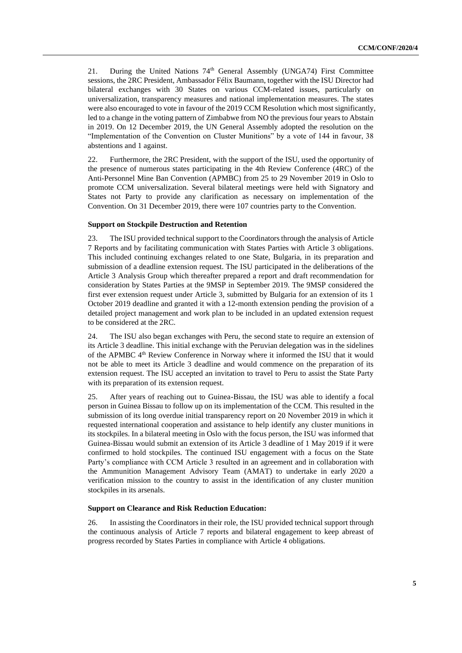21. During the United Nations 74<sup>th</sup> General Assembly (UNGA74) First Committee sessions, the 2RC President, Ambassador Félix Baumann, together with the ISU Director had bilateral exchanges with 30 States on various CCM-related issues, particularly on universalization, transparency measures and national implementation measures. The states were also encouraged to vote in favour of the 2019 CCM Resolution which most significantly, led to a change in the voting pattern of Zimbabwe from NO the previous four years to Abstain in 2019. On 12 December 2019, the UN General Assembly adopted the resolution on the "Implementation of the Convention on Cluster Munitions" by a vote of 144 in favour, 38 abstentions and 1 against.

22. Furthermore, the 2RC President, with the support of the ISU, used the opportunity of the presence of numerous states participating in the 4th Review Conference (4RC) of the Anti-Personnel Mine Ban Convention (APMBC) from 25 to 29 November 2019 in Oslo to promote CCM universalization. Several bilateral meetings were held with Signatory and States not Party to provide any clarification as necessary on implementation of the Convention. On 31 December 2019, there were 107 countries party to the Convention.

### **Support on Stockpile Destruction and Retention**

23. The ISU provided technical support to the Coordinators through the analysis of Article 7 Reports and by facilitating communication with States Parties with Article 3 obligations. This included continuing exchanges related to one State, Bulgaria, in its preparation and submission of a deadline extension request. The ISU participated in the deliberations of the Article 3 Analysis Group which thereafter prepared a report and draft recommendation for consideration by States Parties at the 9MSP in September 2019. The 9MSP considered the first ever extension request under Article 3, submitted by Bulgaria for an extension of its 1 October 2019 deadline and granted it with a 12-month extension pending the provision of a detailed project management and work plan to be included in an updated extension request to be considered at the 2RC.

24. The ISU also began exchanges with Peru, the second state to require an extension of its Article 3 deadline. This initial exchange with the Peruvian delegation was in the sidelines of the APMBC 4th Review Conference in Norway where it informed the ISU that it would not be able to meet its Article 3 deadline and would commence on the preparation of its extension request. The ISU accepted an invitation to travel to Peru to assist the State Party with its preparation of its extension request.

25. After years of reaching out to Guinea-Bissau, the ISU was able to identify a focal person in Guinea Bissau to follow up on its implementation of the CCM. This resulted in the submission of its long overdue initial transparency report on 20 November 2019 in which it requested international cooperation and assistance to help identify any cluster munitions in its stockpiles. In a bilateral meeting in Oslo with the focus person, the ISU was informed that Guinea-Bissau would submit an extension of its Article 3 deadline of 1 May 2019 if it were confirmed to hold stockpiles. The continued ISU engagement with a focus on the State Party's compliance with CCM Article 3 resulted in an agreement and in collaboration with the Ammunition Management Advisory Team (AMAT) to undertake in early 2020 a verification mission to the country to assist in the identification of any cluster munition stockpiles in its arsenals.

#### **Support on Clearance and Risk Reduction Education:**

26. In assisting the Coordinators in their role, the ISU provided technical support through the continuous analysis of Article 7 reports and bilateral engagement to keep abreast of progress recorded by States Parties in compliance with Article 4 obligations.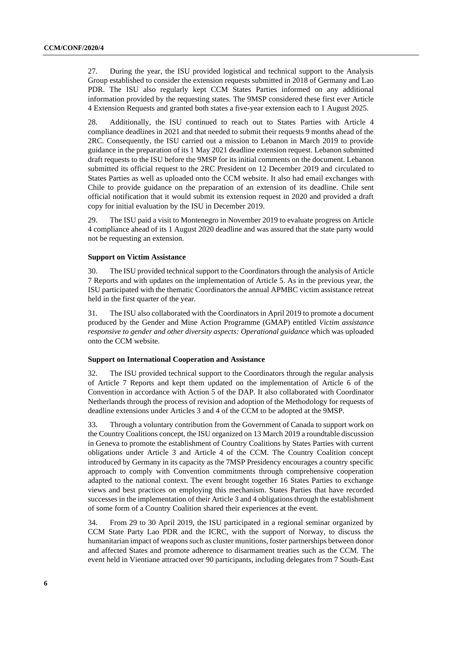27. During the year, the ISU provided logistical and technical support to the Analysis Group established to consider the extension requests submitted in 2018 of Germany and Lao PDR. The ISU also regularly kept CCM States Parties informed on any additional information provided by the requesting states. The 9MSP considered these first ever Article 4 Extension Requests and granted both states a five-year extension each to 1 August 2025.

28. Additionally, the ISU continued to reach out to States Parties with Article 4 compliance deadlines in 2021 and that needed to submit their requests 9 months ahead of the 2RC. Consequently, the ISU carried out a mission to Lebanon in March 2019 to provide guidance in the preparation of its 1 May 2021 deadline extension request. Lebanon submitted draft requests to the ISU before the 9MSP for its initial comments on the document. Lebanon submitted its official request to the 2RC President on 12 December 2019 and circulated to States Parties as well as uploaded onto the CCM website. It also had email exchanges with Chile to provide guidance on the preparation of an extension of its deadline. Chile sent official notification that it would submit its extension request in 2020 and provided a draft copy for initial evaluation by the ISU in December 2019.

29. The ISU paid a visit to Montenegro in November 2019 to evaluate progress on Article 4 compliance ahead of its 1 August 2020 deadline and was assured that the state party would not be requesting an extension.

#### **Support on Victim Assistance**

30. The ISU provided technical support to the Coordinators through the analysis of Article 7 Reports and with updates on the implementation of Article 5. As in the previous year, the ISU participated with the thematic Coordinators the annual APMBC victim assistance retreat held in the first quarter of the year.

31. The ISU also collaborated with the Coordinators in April 2019 to promote a document produced by the Gender and Mine Action Programme (GMAP) entitled *Victim assistance responsive to gender and other diversity aspects: Operational guidance* which was uploaded onto the CCM website.

#### **Support on International Cooperation and Assistance**

32. The ISU provided technical support to the Coordinators through the regular analysis of Article 7 Reports and kept them updated on the implementation of Article 6 of the Convention in accordance with Action 5 of the DAP. It also collaborated with Coordinator Netherlands through the process of revision and adoption of the Methodology for requests of deadline extensions under Articles 3 and 4 of the CCM to be adopted at the 9MSP.

33. Through a voluntary contribution from the Government of Canada to support work on the Country Coalitions concept, the ISU organized on 13 March 2019 a roundtable discussion in Geneva to promote the establishment of Country Coalitions by States Parties with current obligations under Article 3 and Article 4 of the CCM. The Country Coalition concept introduced by Germany in its capacity as the 7MSP Presidency encourages a country specific approach to comply with Convention commitments through comprehensive cooperation adapted to the national context. The event brought together 16 States Parties to exchange views and best practices on employing this mechanism. States Parties that have recorded successes in the implementation of their Article 3 and 4 obligations through the establishment of some form of a Country Coalition shared their experiences at the event.

34. From 29 to 30 April 2019, the ISU participated in a regional seminar organized by CCM State Party Lao PDR and the ICRC, with the support of Norway, to discuss the humanitarian impact of weapons such as cluster munitions, foster partnerships between donor and affected States and promote adherence to disarmament treaties such as the CCM. The event held in Vientiane attracted over 90 participants, including delegates from 7 South-East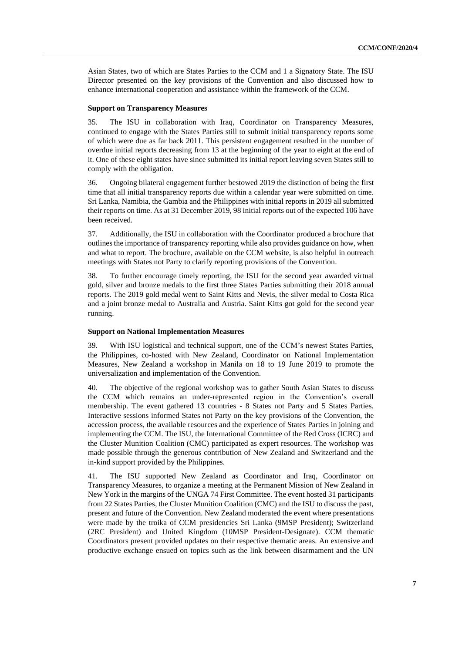Asian States, two of which are States Parties to the CCM and 1 a Signatory State. The ISU Director presented on the key provisions of the Convention and also discussed how to enhance international cooperation and assistance within the framework of the CCM.

#### **Support on Transparency Measures**

35. The ISU in collaboration with Iraq, Coordinator on Transparency Measures, continued to engage with the States Parties still to submit initial transparency reports some of which were due as far back 2011. This persistent engagement resulted in the number of overdue initial reports decreasing from 13 at the beginning of the year to eight at the end of it. One of these eight states have since submitted its initial report leaving seven States still to comply with the obligation.

36. Ongoing bilateral engagement further bestowed 2019 the distinction of being the first time that all initial transparency reports due within a calendar year were submitted on time. Sri Lanka, Namibia, the Gambia and the Philippines with initial reports in 2019 all submitted their reports on time. As at 31 December 2019, 98 initial reports out of the expected 106 have been received.

37. Additionally, the ISU in collaboration with the Coordinator produced a brochure that outlinesthe importance of transparency reporting while also provides guidance on how, when and what to report. The brochure, available on the CCM website, is also helpful in outreach meetings with States not Party to clarify reporting provisions of the Convention.

38. To further encourage timely reporting, the ISU for the second year awarded virtual gold, silver and bronze medals to the first three States Parties submitting their 2018 annual reports. The 2019 gold medal went to Saint Kitts and Nevis, the silver medal to Costa Rica and a joint bronze medal to Australia and Austria. Saint Kitts got gold for the second year running.

#### **Support on National Implementation Measures**

39. With ISU logistical and technical support, one of the CCM's newest States Parties, the Philippines, co-hosted with New Zealand, Coordinator on National Implementation Measures, New Zealand a workshop in Manila on 18 to 19 June 2019 to promote the universalization and implementation of the Convention.

40. The objective of the regional workshop was to gather South Asian States to discuss the CCM which remains an under-represented region in the Convention's overall membership. The event gathered 13 countries - 8 States not Party and 5 States Parties. Interactive sessions informed States not Party on the key provisions of the Convention, the accession process, the available resources and the experience of States Parties in joining and implementing the CCM. The ISU, the International Committee of the Red Cross (ICRC) and the Cluster Munition Coalition (CMC) participated as expert resources. The workshop was made possible through the generous contribution of New Zealand and Switzerland and the in-kind support provided by the Philippines.

41. The ISU supported New Zealand as Coordinator and Iraq, Coordinator on Transparency Measures, to organize a meeting at the Permanent Mission of New Zealand in New York in the margins of the UNGA 74 First Committee. The event hosted 31 participants from 22 States Parties, the Cluster Munition Coalition (CMC) and the ISU to discuss the past, present and future of the Convention. New Zealand moderated the event where presentations were made by the troika of CCM presidencies Sri Lanka (9MSP President); Switzerland (2RC President) and United Kingdom (10MSP President-Designate). CCM thematic Coordinators present provided updates on their respective thematic areas. An extensive and productive exchange ensued on topics such as the link between disarmament and the UN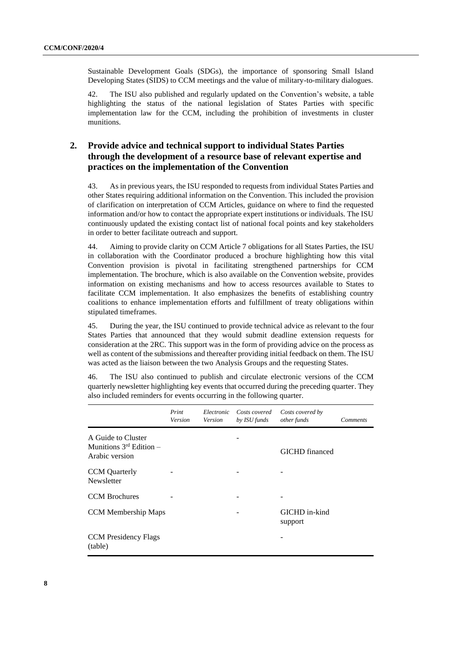Sustainable Development Goals (SDGs), the importance of sponsoring Small Island Developing States (SIDS) to CCM meetings and the value of military-to-military dialogues.

42. The ISU also published and regularly updated on the Convention's website, a table highlighting the status of the national legislation of States Parties with specific implementation law for the CCM, including the prohibition of investments in cluster munitions.

### **2. Provide advice and technical support to individual States Parties through the development of a resource base of relevant expertise and practices on the implementation of the Convention**

43. As in previous years, the ISU responded to requests from individual States Parties and other States requiring additional information on the Convention. This included the provision of clarification on interpretation of CCM Articles, guidance on where to find the requested information and/or how to contact the appropriate expert institutions or individuals. The ISU continuously updated the existing contact list of national focal points and key stakeholders in order to better facilitate outreach and support.

44. Aiming to provide clarity on CCM Article 7 obligations for all States Parties, the ISU in collaboration with the Coordinator produced a brochure highlighting how this vital Convention provision is pivotal in facilitating strengthened partnerships for CCM implementation. The brochure, which is also available on the Convention website, provides information on existing mechanisms and how to access resources available to States to facilitate CCM implementation. It also emphasizes the benefits of establishing country coalitions to enhance implementation efforts and fulfillment of treaty obligations within stipulated timeframes.

45. During the year, the ISU continued to provide technical advice as relevant to the four States Parties that announced that they would submit deadline extension requests for consideration at the 2RC. This support was in the form of providing advice on the process as well as content of the submissions and thereafter providing initial feedback on them. The ISU was acted as the liaison between the two Analysis Groups and the requesting States.

46. The ISU also continued to publish and circulate electronic versions of the CCM quarterly newsletter highlighting key events that occurred during the preceding quarter. They also included reminders for events occurring in the following quarter.

|                                                                      | Print<br>Version | Electronic<br>Version | Costs covered<br>by ISU funds | Costs covered by<br>other funds | <b>Comments</b> |
|----------------------------------------------------------------------|------------------|-----------------------|-------------------------------|---------------------------------|-----------------|
| A Guide to Cluster<br>Munitions $3^{rd}$ Edition –<br>Arabic version |                  |                       |                               | GICHD financed                  |                 |
| <b>CCM</b> Quarterly<br><b>Newsletter</b>                            |                  |                       |                               |                                 |                 |
| <b>CCM</b> Brochures                                                 |                  |                       |                               |                                 |                 |
| <b>CCM</b> Membership Maps                                           |                  |                       |                               | GICHD in-kind<br>support        |                 |
| <b>CCM</b> Presidency Flags<br>(table)                               |                  |                       |                               |                                 |                 |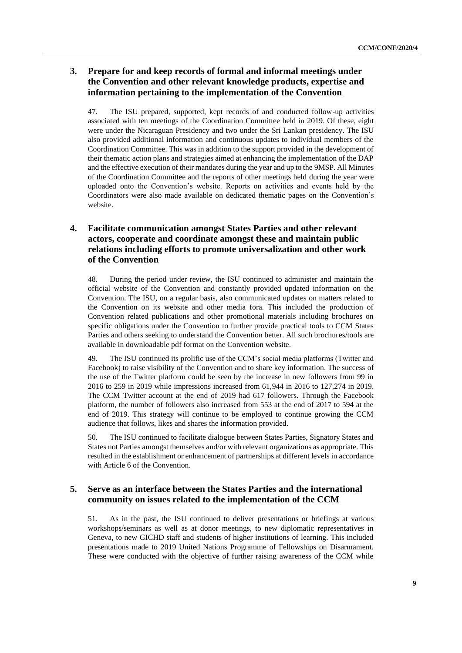### **3. Prepare for and keep records of formal and informal meetings under the Convention and other relevant knowledge products, expertise and information pertaining to the implementation of the Convention**

47. The ISU prepared, supported, kept records of and conducted follow-up activities associated with ten meetings of the Coordination Committee held in 2019. Of these, eight were under the Nicaraguan Presidency and two under the Sri Lankan presidency. The ISU also provided additional information and continuous updates to individual members of the Coordination Committee. This was in addition to the support provided in the development of their thematic action plans and strategies aimed at enhancing the implementation of the DAP and the effective execution of their mandates during the year and up to the 9MSP. All Minutes of the Coordination Committee and the reports of other meetings held during the year were uploaded onto the Convention's website. Reports on activities and events held by the Coordinators were also made available on dedicated thematic pages on the Convention's website.

### **4. Facilitate communication amongst States Parties and other relevant actors, cooperate and coordinate amongst these and maintain public relations including efforts to promote universalization and other work of the Convention**

48. During the period under review, the ISU continued to administer and maintain the official website of the Convention and constantly provided updated information on the Convention. The ISU, on a regular basis, also communicated updates on matters related to the Convention on its website and other media fora. This included the production of Convention related publications and other promotional materials including brochures on specific obligations under the Convention to further provide practical tools to CCM States Parties and others seeking to understand the Convention better. All such brochures/tools are available in downloadable pdf format on the Convention website.

49. The ISU continued its prolific use of the CCM's social media platforms (Twitter and Facebook) to raise visibility of the Convention and to share key information. The success of the use of the Twitter platform could be seen by the increase in new followers from 99 in 2016 to 259 in 2019 while impressions increased from 61,944 in 2016 to 127,274 in 2019. The CCM Twitter account at the end of 2019 had 617 followers. Through the Facebook platform, the number of followers also increased from 553 at the end of 2017 to 594 at the end of 2019. This strategy will continue to be employed to continue growing the CCM audience that follows, likes and shares the information provided.

50. The ISU continued to facilitate dialogue between States Parties, Signatory States and States not Parties amongst themselves and/or with relevant organizations as appropriate. This resulted in the establishment or enhancement of partnerships at different levels in accordance with Article 6 of the Convention.

### **5. Serve as an interface between the States Parties and the international community on issues related to the implementation of the CCM**

51. As in the past, the ISU continued to deliver presentations or briefings at various workshops/seminars as well as at donor meetings, to new diplomatic representatives in Geneva, to new GICHD staff and students of higher institutions of learning. This included presentations made to 2019 United Nations Programme of Fellowships on Disarmament. These were conducted with the objective of further raising awareness of the CCM while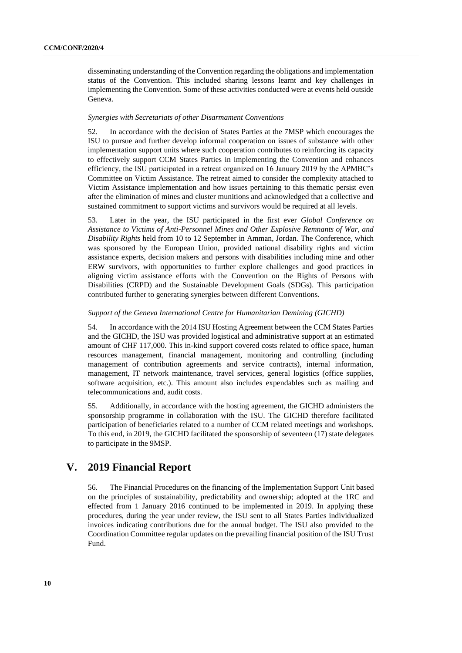disseminating understanding of the Convention regarding the obligations and implementation status of the Convention. This included sharing lessons learnt and key challenges in implementing the Convention. Some of these activities conducted were at events held outside Geneva.

#### *Synergies with Secretariats of other Disarmament Conventions*

52. In accordance with the decision of States Parties at the 7MSP which encourages the ISU to pursue and further develop informal cooperation on issues of substance with other implementation support units where such cooperation contributes to reinforcing its capacity to effectively support CCM States Parties in implementing the Convention and enhances efficiency, the ISU participated in a retreat organized on 16 January 2019 by the APMBC's Committee on Victim Assistance. The retreat aimed to consider the complexity attached to Victim Assistance implementation and how issues pertaining to this thematic persist even after the elimination of mines and cluster munitions and acknowledged that a collective and sustained commitment to support victims and survivors would be required at all levels.

53. Later in the year, the ISU participated in the first ever *Global Conference on Assistance to Victims of Anti-Personnel Mines and Other Explosive Remnants of War, and Disability Rights* held from 10 to 12 September in Amman, Jordan. The Conference, which was sponsored by the European Union, provided national disability rights and victim assistance experts, decision makers and persons with disabilities including mine and other ERW survivors, with opportunities to further explore challenges and good practices in aligning victim assistance efforts with the Convention on the Rights of Persons with Disabilities (CRPD) and the Sustainable Development Goals (SDGs). This participation contributed further to generating synergies between different Conventions.

#### *Support of the Geneva International Centre for Humanitarian Demining (GICHD)*

54. In accordance with the 2014 ISU Hosting Agreement between the CCM States Parties and the GICHD, the ISU was provided logistical and administrative support at an estimated amount of CHF 117,000. This in-kind support covered costs related to office space, human resources management, financial management, monitoring and controlling (including management of contribution agreements and service contracts), internal information, management, IT network maintenance, travel services, general logistics (office supplies, software acquisition, etc.). This amount also includes expendables such as mailing and telecommunications and, audit costs.

55. Additionally, in accordance with the hosting agreement, the GICHD administers the sponsorship programme in collaboration with the ISU. The GICHD therefore facilitated participation of beneficiaries related to a number of CCM related meetings and workshops. To this end, in 2019, the GICHD facilitated the sponsorship of seventeen (17) state delegates to participate in the 9MSP.

### **V. 2019 Financial Report**

56. The Financial Procedures on the financing of the Implementation Support Unit based on the principles of sustainability, predictability and ownership; adopted at the 1RC and effected from 1 January 2016 continued to be implemented in 2019. In applying these procedures, during the year under review, the ISU sent to all States Parties individualized invoices indicating contributions due for the annual budget. The ISU also provided to the Coordination Committee regular updates on the prevailing financial position of the ISU Trust Fund.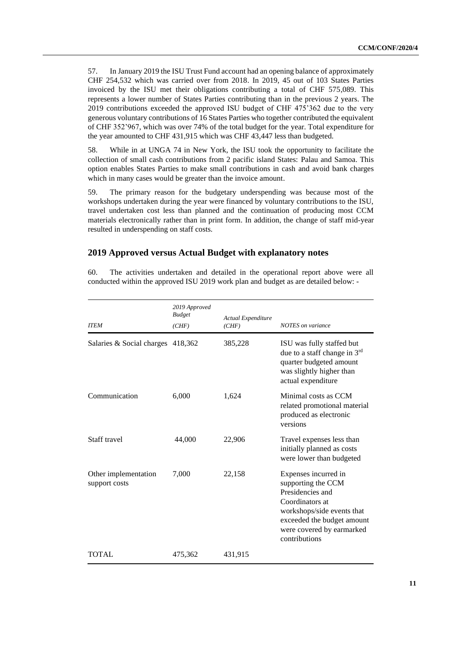57. In January 2019 the ISU Trust Fund account had an opening balance of approximately CHF 254,532 which was carried over from 2018. In 2019, 45 out of 103 States Parties invoiced by the ISU met their obligations contributing a total of CHF 575,089. This represents a lower number of States Parties contributing than in the previous 2 years. The 2019 contributions exceeded the approved ISU budget of CHF 475'362 due to the very generous voluntary contributions of 16 States Parties who together contributed the equivalent of CHF 352'967, which was over 74% of the total budget for the year. Total expenditure for the year amounted to CHF 431,915 which was CHF 43,447 less than budgeted.

58. While in at UNGA 74 in New York, the ISU took the opportunity to facilitate the collection of small cash contributions from 2 pacific island States: Palau and Samoa. This option enables States Parties to make small contributions in cash and avoid bank charges which in many cases would be greater than the invoice amount.

59. The primary reason for the budgetary underspending was because most of the workshops undertaken during the year were financed by voluntary contributions to the ISU, travel undertaken cost less than planned and the continuation of producing most CCM materials electronically rather than in print form. In addition, the change of staff mid-year resulted in underspending on staff costs.

### **2019 Approved versus Actual Budget with explanatory notes**

60. The activities undertaken and detailed in the operational report above were all conducted within the approved ISU 2019 work plan and budget as are detailed below: -

| <b>ITEM</b>                           | 2019 Approved<br><b>Budget</b><br>(CHF) | Actual Expenditure<br>(CHF) | <b>NOTES</b> on variance                                                                                                                                                                    |
|---------------------------------------|-----------------------------------------|-----------------------------|---------------------------------------------------------------------------------------------------------------------------------------------------------------------------------------------|
| Salaries & Social charges 418,362     |                                         | 385,228                     | ISU was fully staffed but<br>due to a staff change in 3rd<br>quarter budgeted amount<br>was slightly higher than<br>actual expenditure                                                      |
| Communication                         | 6,000                                   | 1,624                       | Minimal costs as CCM<br>related promotional material<br>produced as electronic<br>versions                                                                                                  |
| Staff travel                          | 44,000                                  | 22,906                      | Travel expenses less than<br>initially planned as costs<br>were lower than budgeted                                                                                                         |
| Other implementation<br>support costs | 7,000                                   | 22,158                      | Expenses incurred in<br>supporting the CCM<br>Presidencies and<br>Coordinators at<br>workshops/side events that<br>exceeded the budget amount<br>were covered by earmarked<br>contributions |
| <b>TOTAL</b>                          | 475,362                                 | 431,915                     |                                                                                                                                                                                             |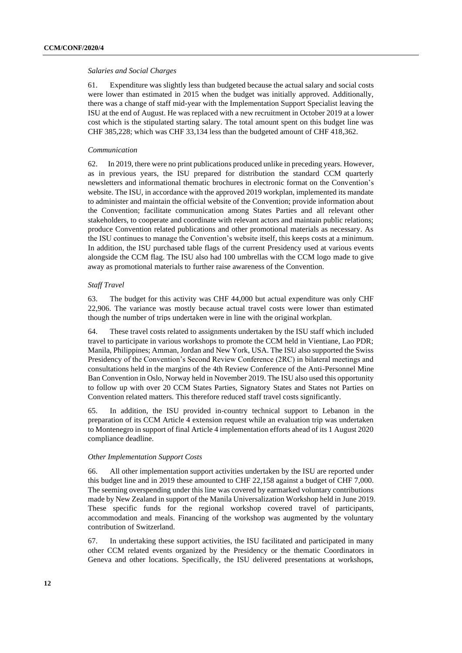#### *Salaries and Social Charges*

61. Expenditure was slightly less than budgeted because the actual salary and social costs were lower than estimated in 2015 when the budget was initially approved. Additionally, there was a change of staff mid-year with the Implementation Support Specialist leaving the ISU at the end of August. He was replaced with a new recruitment in October 2019 at a lower cost which is the stipulated starting salary. The total amount spent on this budget line was CHF 385,228; which was CHF 33,134 less than the budgeted amount of CHF 418,362.

#### *Communication*

62. In 2019, there were no print publications produced unlike in preceding years. However, as in previous years, the ISU prepared for distribution the standard CCM quarterly newsletters and informational thematic brochures in electronic format on the Convention's website. The ISU, in accordance with the approved 2019 workplan, implemented its mandate to administer and maintain the official website of the Convention; provide information about the Convention; facilitate communication among States Parties and all relevant other stakeholders, to cooperate and coordinate with relevant actors and maintain public relations; produce Convention related publications and other promotional materials as necessary. As the ISU continues to manage the Convention's website itself, this keeps costs at a minimum. In addition, the ISU purchased table flags of the current Presidency used at various events alongside the CCM flag. The ISU also had 100 umbrellas with the CCM logo made to give away as promotional materials to further raise awareness of the Convention.

### *Staff Travel*

63. The budget for this activity was CHF 44,000 but actual expenditure was only CHF 22,906. The variance was mostly because actual travel costs were lower than estimated though the number of trips undertaken were in line with the original workplan.

64. These travel costs related to assignments undertaken by the ISU staff which included travel to participate in various workshops to promote the CCM held in Vientiane, Lao PDR; Manila, Philippines; Amman, Jordan and New York, USA. The ISU also supported the Swiss Presidency of the Convention's Second Review Conference (2RC) in bilateral meetings and consultations held in the margins of the 4th Review Conference of the Anti-Personnel Mine Ban Convention in Oslo, Norway held in November 2019. The ISU also used this opportunity to follow up with over 20 CCM States Parties, Signatory States and States not Parties on Convention related matters. This therefore reduced staff travel costs significantly.

65. In addition, the ISU provided in-country technical support to Lebanon in the preparation of its CCM Article 4 extension request while an evaluation trip was undertaken to Montenegro in support of final Article 4 implementation efforts ahead of its 1 August 2020 compliance deadline.

#### *Other Implementation Support Costs*

66. All other implementation support activities undertaken by the ISU are reported under this budget line and in 2019 these amounted to CHF 22,158 against a budget of CHF 7,000. The seeming overspending under this line was covered by earmarked voluntary contributions made by New Zealand in support of the Manila Universalization Workshop held in June 2019. These specific funds for the regional workshop covered travel of participants, accommodation and meals. Financing of the workshop was augmented by the voluntary contribution of Switzerland.

67. In undertaking these support activities, the ISU facilitated and participated in many other CCM related events organized by the Presidency or the thematic Coordinators in Geneva and other locations. Specifically, the ISU delivered presentations at workshops,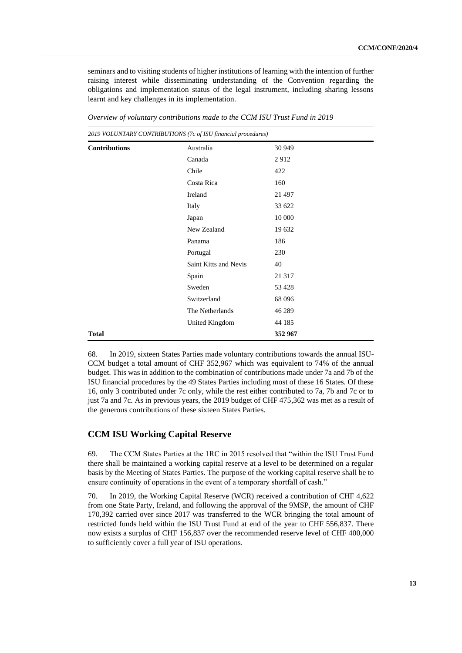seminars and to visiting students of higher institutions of learning with the intention of further raising interest while disseminating understanding of the Convention regarding the obligations and implementation status of the legal instrument, including sharing lessons learnt and key challenges in its implementation.

| 2019 VOLUNTARY CONTRIBUTIONS (7c of ISU financial procedures) |                       |         |  |
|---------------------------------------------------------------|-----------------------|---------|--|
| <b>Contributions</b>                                          | Australia             | 30 949  |  |
|                                                               | Canada                | 2912    |  |
|                                                               | Chile                 | 422     |  |
|                                                               | Costa Rica            | 160     |  |
|                                                               | Ireland               | 21 497  |  |
|                                                               | Italy                 | 33 622  |  |
|                                                               | Japan                 | 10 000  |  |
|                                                               | New Zealand           | 19 632  |  |
|                                                               | Panama                | 186     |  |
|                                                               | Portugal              | 230     |  |
|                                                               | Saint Kitts and Nevis | 40      |  |
|                                                               | Spain                 | 21 317  |  |
|                                                               | Sweden                | 53 4 28 |  |
|                                                               | Switzerland           | 68 0 96 |  |
|                                                               | The Netherlands       | 46 289  |  |
|                                                               | United Kingdom        | 44 185  |  |
| <b>Total</b>                                                  |                       | 352967  |  |

*Overview of voluntary contributions made to the CCM ISU Trust Fund in 2019*

68. In 2019, sixteen States Parties made voluntary contributions towards the annual ISU-CCM budget a total amount of CHF 352,967 which was equivalent to 74% of the annual budget. This was in addition to the combination of contributions made under 7a and 7b of the ISU financial procedures by the 49 States Parties including most of these 16 States. Of these 16, only 3 contributed under 7c only, while the rest either contributed to 7a, 7b and 7c or to just 7a and 7c. As in previous years, the 2019 budget of CHF 475,362 was met as a result of the generous contributions of these sixteen States Parties.

### **CCM ISU Working Capital Reserve**

69. The CCM States Parties at the 1RC in 2015 resolved that "within the ISU Trust Fund there shall be maintained a working capital reserve at a level to be determined on a regular basis by the Meeting of States Parties. The purpose of the working capital reserve shall be to ensure continuity of operations in the event of a temporary shortfall of cash."

70. In 2019, the Working Capital Reserve (WCR) received a contribution of CHF 4,622 from one State Party, Ireland, and following the approval of the 9MSP, the amount of CHF 170,392 carried over since 2017 was transferred to the WCR bringing the total amount of restricted funds held within the ISU Trust Fund at end of the year to CHF 556,837. There now exists a surplus of CHF 156,837 over the recommended reserve level of CHF 400,000 to sufficiently cover a full year of ISU operations.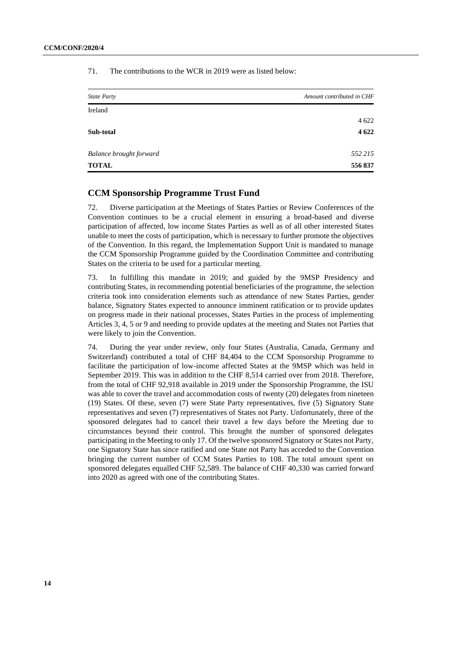71. The contributions to the WCR in 2019 were as listed below:

| <b>State Party</b>             | Amount contributed in CHF |
|--------------------------------|---------------------------|
| Ireland                        |                           |
|                                | 4 6 22                    |
| Sub-total                      | 4 6 22                    |
| <b>Balance brought forward</b> | 552 215                   |
| <b>TOTAL</b>                   | 556837                    |

### **CCM Sponsorship Programme Trust Fund**

72. Diverse participation at the Meetings of States Parties or Review Conferences of the Convention continues to be a crucial element in ensuring a broad-based and diverse participation of affected, low income States Parties as well as of all other interested States unable to meet the costs of participation, which is necessary to further promote the objectives of the Convention. In this regard, the Implementation Support Unit is mandated to manage the CCM Sponsorship Programme guided by the Coordination Committee and contributing States on the criteria to be used for a particular meeting.

73. In fulfilling this mandate in 2019; and guided by the 9MSP Presidency and contributing States, in recommending potential beneficiaries of the programme, the selection criteria took into consideration elements such as attendance of new States Parties, gender balance, Signatory States expected to announce imminent ratification or to provide updates on progress made in their national processes, States Parties in the process of implementing Articles 3, 4, 5 or 9 and needing to provide updates at the meeting and States not Parties that were likely to join the Convention.

74. During the year under review, only four States (Australia, Canada, Germany and Switzerland) contributed a total of CHF 84,404 to the CCM Sponsorship Programme to facilitate the participation of low-income affected States at the 9MSP which was held in September 2019. This was in addition to the CHF 8,514 carried over from 2018. Therefore, from the total of CHF 92,918 available in 2019 under the Sponsorship Programme, the ISU was able to cover the travel and accommodation costs of twenty (20) delegates from nineteen (19) States. Of these, seven (7) were State Party representatives, five (5) Signatory State representatives and seven (7) representatives of States not Party. Unfortunately, three of the sponsored delegates had to cancel their travel a few days before the Meeting due to circumstances beyond their control. This brought the number of sponsored delegates participating in the Meeting to only 17. Of the twelve sponsored Signatory or States not Party, one Signatory State has since ratified and one State not Party has acceded to the Convention bringing the current number of CCM States Parties to 108. The total amount spent on sponsored delegates equalled CHF 52,589. The balance of CHF 40,330 was carried forward into 2020 as agreed with one of the contributing States.